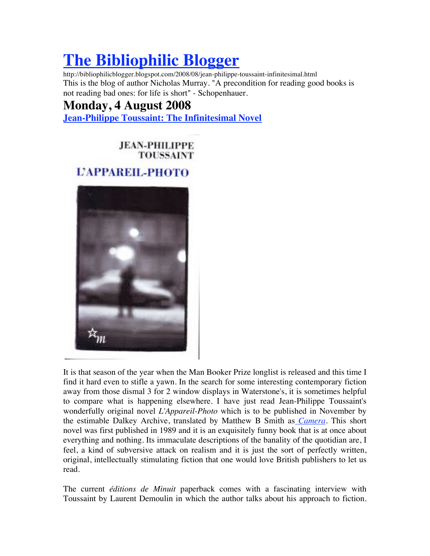## **The Bibliophilic Blogger**

http://bibliophilicblogger.blogspot.com/2008/08/jean-philippe-toussaint-infinitesimal.html This is the blog of author Nicholas Murray. "A precondition for reading good books is not reading bad ones: for life is short" - Schopenhauer.

## **Monday, 4 August 2008**

**Jean-Philippe Toussaint: The Infinitesimal Novel**

**JEAN-PHILIPPE TOUSSAINT** 

## **L'APPAREIL-PHOTO**



It is that season of the year when the Man Booker Prize longlist is released and this time I find it hard even to stifle a yawn. In the search for some interesting contemporary fiction away from those dismal 3 for 2 window displays in Waterstone's, it is sometimes helpful to compare what is happening elsewhere. I have just read Jean-Philippe Toussaint's wonderfully original novel *L'Appareil-Photo* which is to be published in November by the estimable Dalkey Archive, translated by Matthew B Smith as *Camera.* This short novel was first published in 1989 and it is an exquisitely funny book that is at once about everything and nothing. Its immaculate descriptions of the banality of the quotidian are, I feel, a kind of subversive attack on realism and it is just the sort of perfectly written, original, intellectually stimulating fiction that one would love British publishers to let us read.

The current *éditions de Minuit* paperback comes with a fascinating interview with Toussaint by Laurent Demoulin in which the author talks about his approach to fiction.